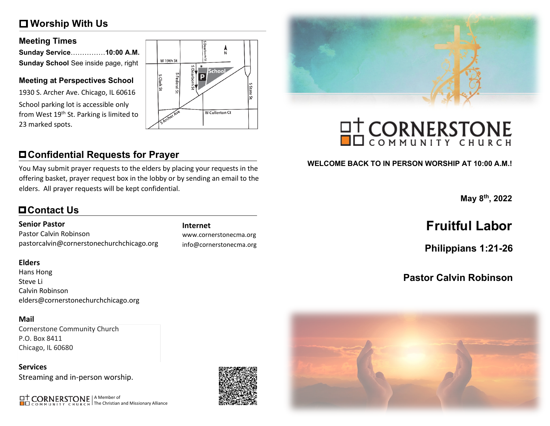## **Worship With Us**

#### **Meeting Times**

| Sunday Service10:00 A.M.             |  |
|--------------------------------------|--|
| Sunday School See inside page, right |  |

#### **Meeting at Perspectives School**

1930 S. Archer Ave. Chicago, IL 60616 School parking lot is accessible only from West 19<sup>th</sup> St. Parking is limited to 23 marked spots.



## **Confidential Requests for Prayer**

You May submit prayer requests to the elders by placing your requests in the offering basket, prayer request box in the lobby or by sending an email to the elders. All prayer requests will be kept confidential.

## **Contact Us**

#### **Senior Pastor**

Pastor Calvin Robinson pastorcalvin@cornerstonechurchchicago.org

#### **Elders**

Hans Hong Steve Li Calvin Robinson elders@cornerstonechurchchicago.org

#### **Mail**

Cornerstone Community Church P.O. Box 8411 Chicago, IL 60680

**Services** Streaming and in-person worship.

A Member of The Christian and Missionary Alliance



www.cornerstonecma.org info@cornerstonecma.org



# **OT CORNERSTONE**

#### **WELCOME BACK TO IN PERSON WORSHIP AT 10:00 A.M.!**

**May 8th, 2022**

## **Internet Fruitful Labor**

**Philippians 1:21-26**

## **Pastor Calvin Robinson**